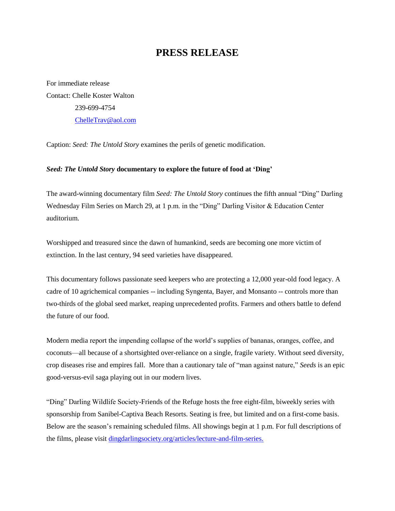## **PRESS RELEASE**

For immediate release Contact: Chelle Koster Walton 239-699-4754 [ChelleTrav@aol.com](mailto:ChelleTrav@aol.com)

Caption: *Seed: The Untold Story* examines the perils of genetic modification.

## *Seed: The Untold Story* **documentary to explore the future of food at 'Ding'**

The award-winning documentary film *Seed: The Untold Story* continues the fifth annual "Ding" Darling Wednesday Film Series on March 29, at 1 p.m. in the "Ding" Darling Visitor & Education Center auditorium.

Worshipped and treasured since the dawn of humankind, seeds are becoming one more victim of extinction. In the last century, 94 seed varieties have disappeared.

This documentary follows passionate seed keepers who are protecting a 12,000 year-old food legacy. A cadre of 10 agrichemical companies -- including Syngenta, Bayer, and Monsanto -- controls more than two-thirds of the global seed market, reaping unprecedented profits. Farmers and others battle to defend the future of our food.

Modern media report the impending collapse of the world's supplies of bananas, oranges, coffee, and coconuts—all because of a shortsighted over-reliance on a single, fragile variety. Without seed diversity, crop diseases rise and empires fall. More than a cautionary tale of "man against nature," *Seeds* is an epic good-versus-evil saga playing out in our modern lives.

"Ding" Darling Wildlife Society-Friends of the Refuge hosts the free eight-film, biweekly series with sponsorship from Sanibel-Captiva Beach Resorts. Seating is free, but limited and on a first-come basis. Below are the season's remaining scheduled films. All showings begin at 1 p.m. For full descriptions of the films, please visit [dingdarlingsociety.org/articles/lecture-and-film-series.](http://www.dingdarlingsociety.org/films)